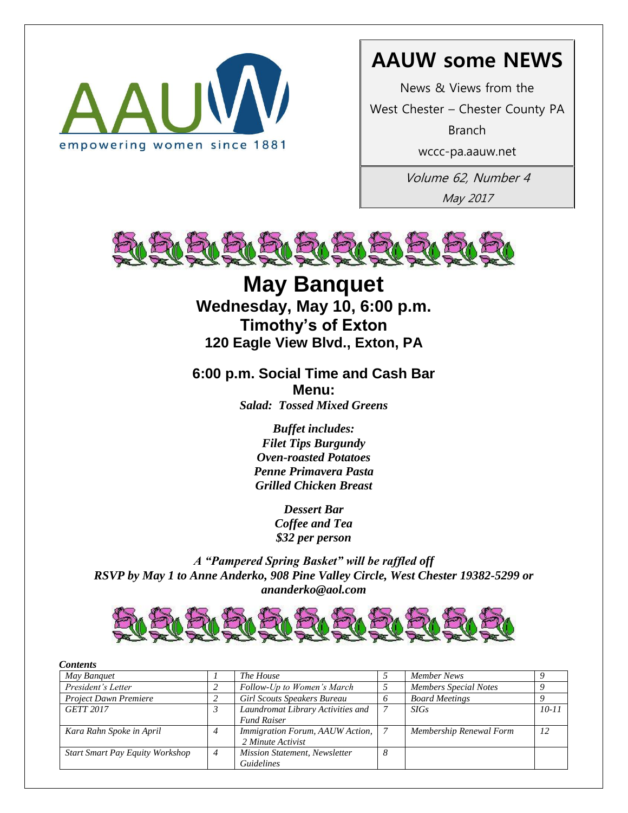

## **AAUW some NEWS**

News & Views from the

West Chester – Chester County PA

Branch

wccc-pa.aauw.net

Volume 62, Number 4 May 2017



**May Banquet Wednesday, May 10, 6:00 p.m. Timothy's of Exton 120 Eagle View Blvd., Exton, PA**

**6:00 p.m. Social Time and Cash Bar Menu:**

*Salad: Tossed Mixed Greens*

*Buffet includes: Filet Tips Burgundy Oven-roasted Potatoes Penne Primavera Pasta Grilled Chicken Breast*

> *Dessert Bar Coffee and Tea \$32 per person*

*A "Pampered Spring Basket" will be raffled off RSVP by May 1 to Anne Anderko, 908 Pine Valley Circle, West Chester 19382-5299 or ananderko@aol.com*



| <b>Contents</b>                        |   |                                                         |   |                              |           |
|----------------------------------------|---|---------------------------------------------------------|---|------------------------------|-----------|
| May Banquet                            |   | The House                                               |   | Member News                  |           |
| President's Letter                     |   | Follow-Up to Women's March                              |   | <b>Members Special Notes</b> |           |
| <b>Project Dawn Premiere</b>           |   | <b>Girl Scouts Speakers Bureau</b>                      | 6 | <b>Board Meetings</b>        |           |
| <b>GETT 2017</b>                       |   | Laundromat Library Activities and<br><b>Fund Raiser</b> |   | <b>SIGs</b>                  | $10 - 11$ |
| Kara Rahn Spoke in April               | 4 | Immigration Forum, AAUW Action,<br>2 Minute Activist    |   | Membership Renewal Form      | 12        |
| <b>Start Smart Pay Equity Workshop</b> | 4 | <b>Mission Statement, Newsletter</b>                    | 8 |                              |           |
|                                        |   | <b>Guidelines</b>                                       |   |                              |           |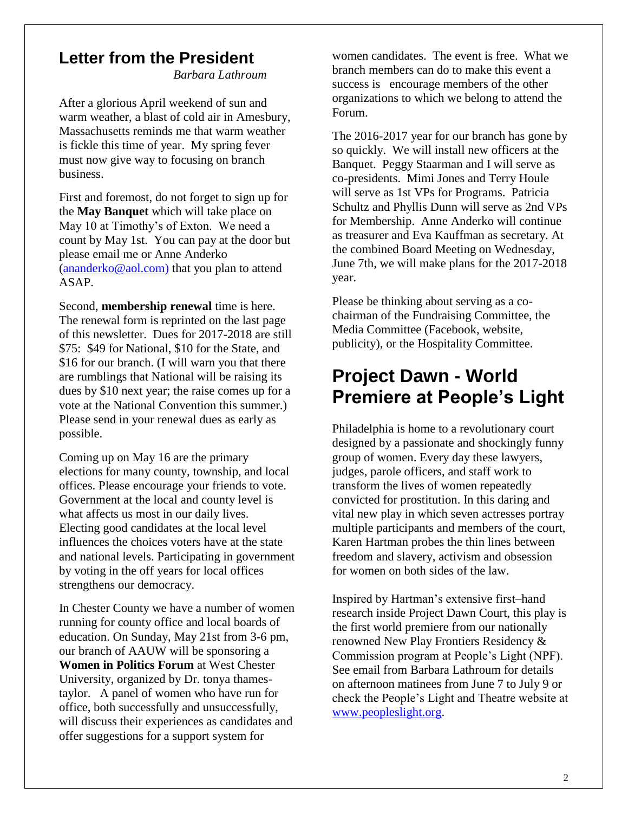## **Letter from the President**

*Barbara Lathroum*

After a glorious April weekend of sun and warm weather, a blast of cold air in Amesbury, Massachusetts reminds me that warm weather is fickle this time of year. My spring fever must now give way to focusing on branch business.

First and foremost, do not forget to sign up for the **May Banquet** which will take place on May 10 at Timothy's of Exton. We need a count by May 1st. You can pay at the door but please email me or Anne Anderko [\(ananderko@aol.com\)](mailto:ananderko@aol.com)) that you plan to attend ASAP.

Second, **membership renewal** time is here. The renewal form is reprinted on the last page of this newsletter. Dues for 2017-2018 are still \$75: \$49 for National, \$10 for the State, and \$16 for our branch. (I will warn you that there are rumblings that National will be raising its dues by \$10 next year; the raise comes up for a vote at the National Convention this summer.) Please send in your renewal dues as early as possible.

Coming up on May 16 are the primary elections for many county, township, and local offices. Please encourage your friends to vote. Government at the local and county level is what affects us most in our daily lives. Electing good candidates at the local level influences the choices voters have at the state and national levels. Participating in government by voting in the off years for local offices strengthens our democracy.

In Chester County we have a number of women running for county office and local boards of education. On Sunday, May 21st from 3-6 pm, our branch of AAUW will be sponsoring a **Women in Politics Forum** at West Chester University, organized by Dr. tonya thamestaylor. A panel of women who have run for office, both successfully and unsuccessfully, will discuss their experiences as candidates and offer suggestions for a support system for

women candidates. The event is free. What we branch members can do to make this event a success is encourage members of the other organizations to which we belong to attend the Forum.

The 2016-2017 year for our branch has gone by so quickly. We will install new officers at the Banquet. Peggy Staarman and I will serve as co-presidents. Mimi Jones and Terry Houle will serve as 1st VPs for Programs. Patricia Schultz and Phyllis Dunn will serve as 2nd VPs for Membership. Anne Anderko will continue as treasurer and Eva Kauffman as secretary. At the combined Board Meeting on Wednesday, June 7th, we will make plans for the 2017-2018 year.

Please be thinking about serving as a cochairman of the Fundraising Committee, the Media Committee (Facebook, website, publicity), or the Hospitality Committee.

## **Project Dawn - World Premiere at People's Light**

Philadelphia is home to a revolutionary court designed by a passionate and shockingly funny group of women. Every day these lawyers, judges, parole officers, and staff work to transform the lives of women repeatedly convicted for prostitution. In this daring and vital new play in which seven actresses portray multiple participants and members of the court, Karen Hartman probes the thin lines between freedom and slavery, activism and obsession for women on both sides of the law.

Inspired by Hartman's extensive first–hand research inside Project Dawn Court, this play is the first world premiere from our nationally renowned New Play Frontiers Residency & Commission program at People's Light (NPF). See email from Barbara Lathroum for details on afternoon matinees from June 7 to July 9 or check the People's Light and Theatre website at [www.peopleslight.org.](http://www.peopleslight.org/)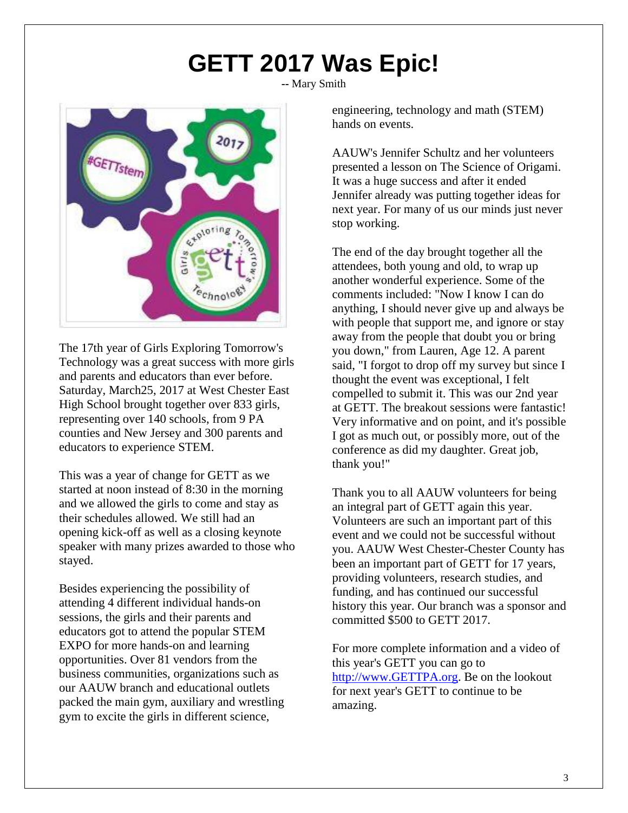## **GETT 2017 Was Epic!**

**--** Mary Smith



The 17th year of Girls Exploring Tomorrow's Technology was a great success with more girls and parents and educators than ever before. Saturday, March25, 2017 at West Chester East High School brought together over 833 girls, representing over 140 schools, from 9 PA counties and New Jersey and 300 parents and educators to experience STEM.

This was a year of change for GETT as we started at noon instead of 8:30 in the morning and we allowed the girls to come and stay as their schedules allowed. We still had an opening kick-off as well as a closing keynote speaker with many prizes awarded to those who stayed.

Besides experiencing the possibility of attending 4 different individual hands-on sessions, the girls and their parents and educators got to attend the popular STEM EXPO for more hands-on and learning opportunities. Over 81 vendors from the business communities, organizations such as our AAUW branch and educational outlets packed the main gym, auxiliary and wrestling gym to excite the girls in different science,

engineering, technology and math (STEM) hands on events.

AAUW's Jennifer Schultz and her volunteers presented a lesson on The Science of Origami. It was a huge success and after it ended Jennifer already was putting together ideas for next year. For many of us our minds just never stop working.

The end of the day brought together all the attendees, both young and old, to wrap up another wonderful experience. Some of the comments included: "Now I know I can do anything, I should never give up and always be with people that support me, and ignore or stay away from the people that doubt you or bring you down," from Lauren, Age 12. A parent said, "I forgot to drop off my survey but since I thought the event was exceptional, I felt compelled to submit it. This was our 2nd year at GETT. The breakout sessions were fantastic! Very informative and on point, and it's possible I got as much out, or possibly more, out of the conference as did my daughter. Great job, thank you!"

Thank you to all AAUW volunteers for being an integral part of GETT again this year. Volunteers are such an important part of this event and we could not be successful without you. AAUW West Chester-Chester County has been an important part of GETT for 17 years, providing volunteers, research studies, and funding, and has continued our successful history this year. Our branch was a sponsor and committed \$500 to GETT 2017.

For more complete information and a video of this year's GETT you can go to [http://www.GETTPA.org.](http://www.gettpa.org/) Be on the lookout for next year's GETT to continue to be amazing.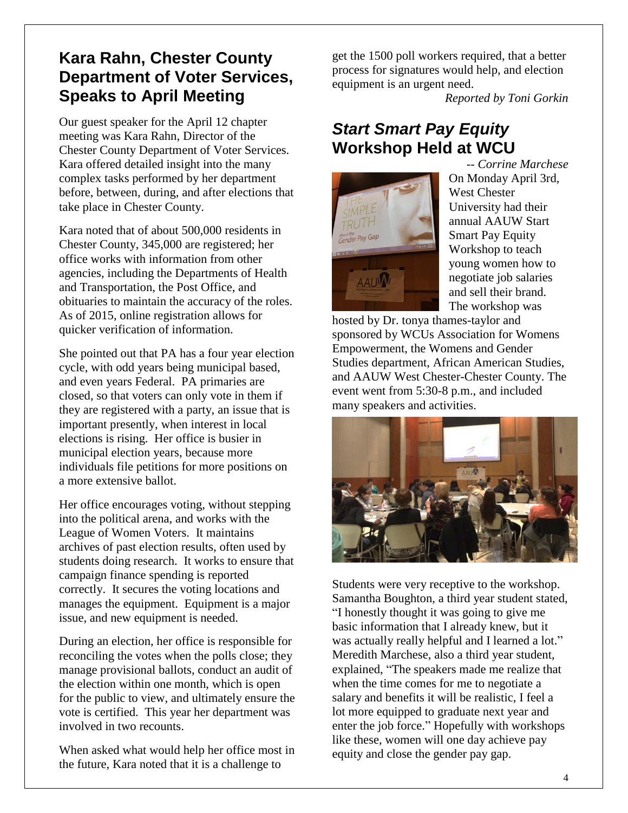## **Kara Rahn, Chester County Department of Voter Services, Speaks to April Meeting**

Our guest speaker for the April 12 chapter meeting was Kara Rahn, Director of the Chester County Department of Voter Services. Kara offered detailed insight into the many complex tasks performed by her department before, between, during, and after elections that take place in Chester County.

Kara noted that of about 500,000 residents in Chester County, 345,000 are registered; her office works with information from other agencies, including the Departments of Health and Transportation, the Post Office, and obituaries to maintain the accuracy of the roles. As of 2015, online registration allows for quicker verification of information.

She pointed out that PA has a four year election cycle, with odd years being municipal based, and even years Federal. PA primaries are closed, so that voters can only vote in them if they are registered with a party, an issue that is important presently, when interest in local elections is rising. Her office is busier in municipal election years, because more individuals file petitions for more positions on a more extensive ballot.

Her office encourages voting, without stepping into the political arena, and works with the League of Women Voters. It maintains archives of past election results, often used by students doing research. It works to ensure that campaign finance spending is reported correctly. It secures the voting locations and manages the equipment. Equipment is a major issue, and new equipment is needed.

During an election, her office is responsible for reconciling the votes when the polls close; they manage provisional ballots, conduct an audit of the election within one month, which is open for the public to view, and ultimately ensure the vote is certified. This year her department was involved in two recounts.

When asked what would help her office most in the future, Kara noted that it is a challenge to

get the 1500 poll workers required, that a better process for signatures would help, and election equipment is an urgent need.

*Reported by Toni Gorkin*

## *Start Smart Pay Equity* **Workshop Held at WCU**



*-- Corrine Marchese* On Monday April 3rd, West Chester University had their annual AAUW Start Smart Pay Equity Workshop to teach young women how to negotiate job salaries and sell their brand. The workshop was

hosted by Dr. tonya thames-taylor and sponsored by WCUs Association for Womens Empowerment, the Womens and Gender Studies department, African American Studies, and AAUW West Chester-Chester County. The event went from 5:30-8 p.m., and included many speakers and activities.



Students were very receptive to the workshop. Samantha Boughton, a third year student stated, "I honestly thought it was going to give me basic information that I already knew, but it was actually really helpful and I learned a lot." Meredith Marchese, also a third year student, explained, "The speakers made me realize that when the time comes for me to negotiate a salary and benefits it will be realistic, I feel a lot more equipped to graduate next year and enter the job force." Hopefully with workshops like these, women will one day achieve pay equity and close the gender pay gap.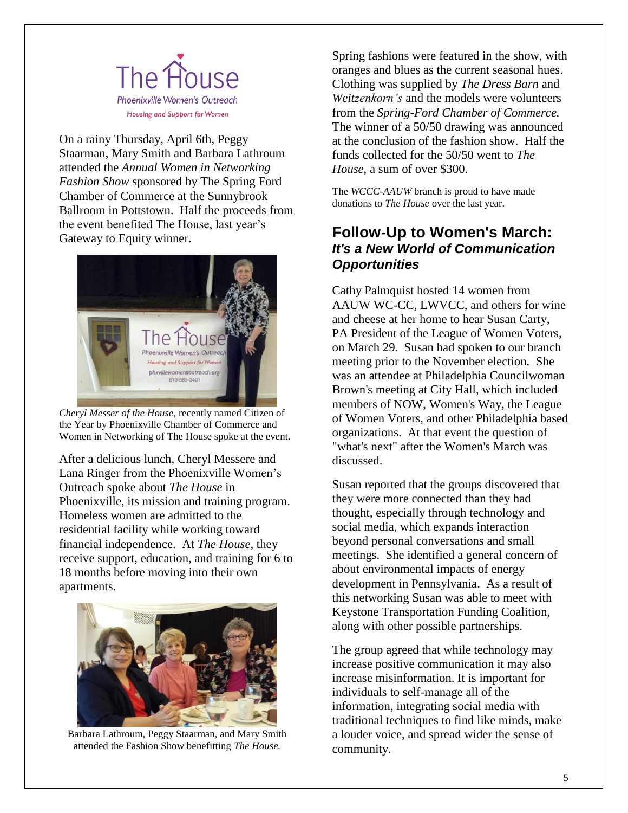

On a rainy Thursday, April 6th, Peggy Staarman, Mary Smith and Barbara Lathroum attended the *Annual Women in Networking Fashion Show* sponsored by The Spring Ford Chamber of Commerce at the Sunnybrook Ballroom in Pottstown. Half the proceeds from the event benefited The House, last year's Gateway to Equity winner.



*Cheryl Messer of the House,* recently named Citizen of the Year by Phoenixville Chamber of Commerce and Women in Networking of The House spoke at the event.

After a delicious lunch, Cheryl Messere and Lana Ringer from the Phoenixville Women's Outreach spoke about *The House* in Phoenixville, its mission and training program. Homeless women are admitted to the residential facility while working toward financial independence. At *The House*, they receive support, education, and training for 6 to 18 months before moving into their own apartments.



Barbara Lathroum, Peggy Staarman, and Mary Smith attended the Fashion Show benefitting *The House.*

Spring fashions were featured in the show, with oranges and blues as the current seasonal hues. Clothing was supplied by *The Dress Barn* and *Weitzenkorn's* and the models were volunteers from the *Spring-Ford Chamber of Commerce.* The winner of a 50/50 drawing was announced at the conclusion of the fashion show. Half the funds collected for the 50/50 went to *The House*, a sum of over \$300.

The *WCCC-AAUW* branch is proud to have made donations to *The House* over the last year.

## **Follow-Up to Women's March:** *It's a New World of Communication Opportunities*

Cathy Palmquist hosted 14 women from AAUW WC-CC, LWVCC, and others for wine and cheese at her home to hear Susan Carty, PA President of the League of Women Voters, on March 29. Susan had spoken to our branch meeting prior to the November election. She was an attendee at Philadelphia Councilwoman Brown's meeting at City Hall, which included members of NOW, Women's Way, the League of Women Voters, and other Philadelphia based organizations. At that event the question of "what's next" after the Women's March was discussed.

Susan reported that the groups discovered that they were more connected than they had thought, especially through technology and social media, which expands interaction beyond personal conversations and small meetings. She identified a general concern of about environmental impacts of energy development in Pennsylvania. As a result of this networking Susan was able to meet with Keystone Transportation Funding Coalition, along with other possible partnerships.

The group agreed that while technology may increase positive communication it may also increase misinformation. It is important for individuals to self-manage all of the information, integrating social media with traditional techniques to find like minds, make a louder voice, and spread wider the sense of community.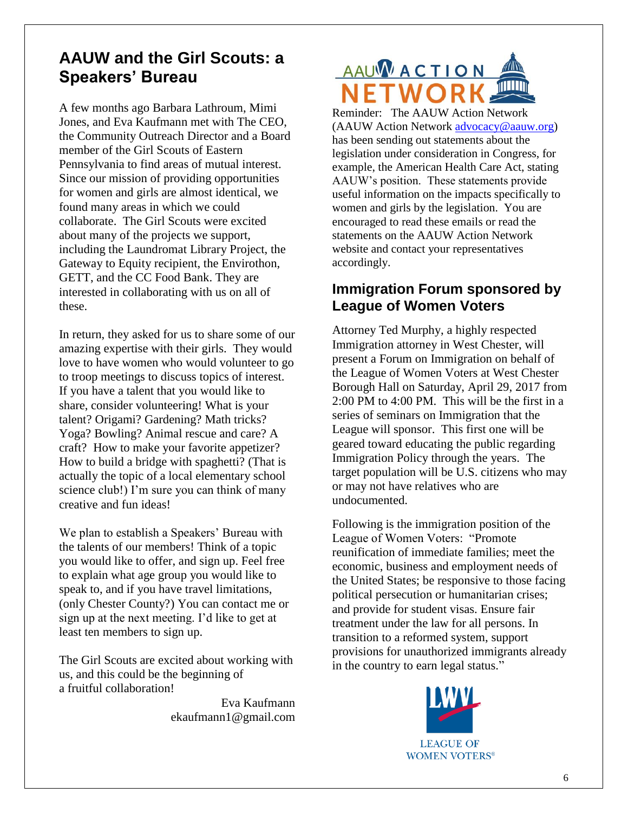## **AAUW and the Girl Scouts: a Speakers' Bureau**

A few months ago Barbara Lathroum, Mimi Jones, and Eva Kaufmann met with The CEO, the Community Outreach Director and a Board member of the Girl Scouts of Eastern Pennsylvania to find areas of mutual interest. Since our mission of providing opportunities for women and girls are almost identical, we found many areas in which we could collaborate. The Girl Scouts were excited about many of the projects we support, including the Laundromat Library Project, the Gateway to Equity recipient, the Envirothon, GETT, and the CC Food Bank. They are interested in collaborating with us on all of these.

In return, they asked for us to share some of our amazing expertise with their girls. They would love to have women who would volunteer to go to troop meetings to discuss topics of interest. If you have a talent that you would like to share, consider volunteering! What is your talent? Origami? Gardening? Math tricks? Yoga? Bowling? Animal rescue and care? A craft? How to make your favorite appetizer? How to build a bridge with spaghetti? (That is actually the topic of a local elementary school science club!) I'm sure you can think of many creative and fun ideas!

We plan to establish a Speakers' Bureau with the talents of our members! Think of a topic you would like to offer, and sign up. Feel free to explain what age group you would like to speak to, and if you have travel limitations, (only Chester County?) You can contact me or sign up at the next meeting. I'd like to get at least ten members to sign up.

The Girl Scouts are excited about working with us, and this could be the beginning of a fruitful collaboration!

> Eva Kaufmann ekaufmann1@gmail.com

# AAUWACTION

Reminder: The AAUW Action Network (AAUW Action Network [advocacy@aauw.org\)](mailto:advocacy@aauw.org) has been sending out statements about the legislation under consideration in Congress, for example, the American Health Care Act, stating AAUW's position. These statements provide useful information on the impacts specifically to women and girls by the legislation. You are encouraged to read these emails or read the statements on the AAUW Action Network website and contact your representatives accordingly.

## **Immigration Forum sponsored by League of Women Voters**

Attorney Ted Murphy, a highly respected Immigration attorney in West Chester, will present a Forum on Immigration on behalf of the League of Women Voters at West Chester Borough Hall on Saturday, April 29, 2017 from 2:00 PM to 4:00 PM. This will be the first in a series of seminars on Immigration that the League will sponsor. This first one will be geared toward educating the public regarding Immigration Policy through the years. The target population will be U.S. citizens who may or may not have relatives who are undocumented.

Following is the immigration position of the League of Women Voters: "Promote reunification of immediate families; meet the economic, business and employment needs of the United States; be responsive to those facing political persecution or humanitarian crises; and provide for student visas. Ensure fair treatment under the law for all persons. In transition to a reformed system, support provisions for unauthorized immigrants already in the country to earn legal status."

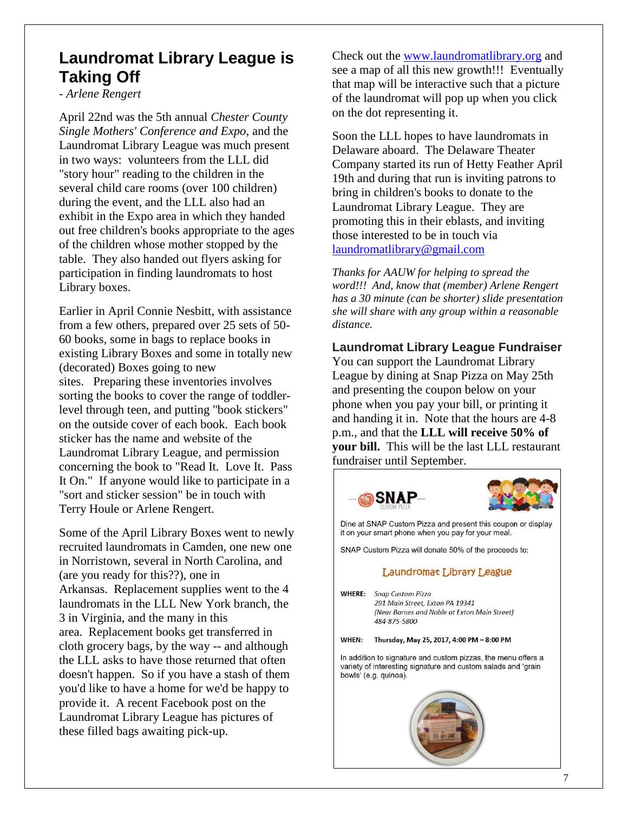## **Laundromat Library League is Taking Off**

*- Arlene Rengert*

April 22nd was the 5th annual *Chester County Single Mothers' Conference and Expo*, and the Laundromat Library League was much present in two ways: volunteers from the LLL did "story hour" reading to the children in the several child care rooms (over 100 children) during the event, and the LLL also had an exhibit in the Expo area in which they handed out free children's books appropriate to the ages of the children whose mother stopped by the table. They also handed out flyers asking for participation in finding laundromats to host Library boxes.

Earlier in April Connie Nesbitt, with assistance from a few others, prepared over 25 sets of 50- 60 books, some in bags to replace books in existing Library Boxes and some in totally new (decorated) Boxes going to new sites. Preparing these inventories involves sorting the books to cover the range of toddlerlevel through teen, and putting "book stickers" on the outside cover of each book. Each book sticker has the name and website of the Laundromat Library League, and permission concerning the book to "Read It. Love It. Pass It On." If anyone would like to participate in a "sort and sticker session" be in touch with Terry Houle or Arlene Rengert.

Some of the April Library Boxes went to newly recruited laundromats in Camden, one new one in Norristown, several in North Carolina, and (are you ready for this??), one in Arkansas. Replacement supplies went to the 4 laundromats in the LLL New York branch, the 3 in Virginia, and the many in this area. Replacement books get transferred in cloth grocery bags, by the way -- and although the LLL asks to have those returned that often doesn't happen. So if you have a stash of them you'd like to have a home for we'd be happy to provide it. A recent Facebook post on the Laundromat Library League has pictures of these filled bags awaiting pick-up.

Check out the [www.laundromatlibrary.org](http://www.laundromatlibrary.org/) and see a map of all this new growth!!! Eventually that map will be interactive such that a picture of the laundromat will pop up when you click on the dot representing it.

Soon the LLL hopes to have laundromats in Delaware aboard. The Delaware Theater Company started its run of Hetty Feather April 19th and during that run is inviting patrons to bring in children's books to donate to the Laundromat Library League. They are promoting this in their eblasts, and inviting those interested to be in touch via [laundromatlibrary@gmail.com](mailto:laundromatlibrary@gmail.com)

*Thanks for AAUW for helping to spread the word!!! And, know that (member) Arlene Rengert has a 30 minute (can be shorter) slide presentation she will share with any group within a reasonable distance.*

**Laundromat Library League Fundraiser** You can support the Laundromat Library League by dining at Snap Pizza on May 25th and presenting the coupon below on your phone when you pay your bill, or printing it and handing it in. Note that the hours are 4-8 p.m., and that the **LLL will receive 50% of your bill.** This will be the last LLL restaurant fundraiser until September.

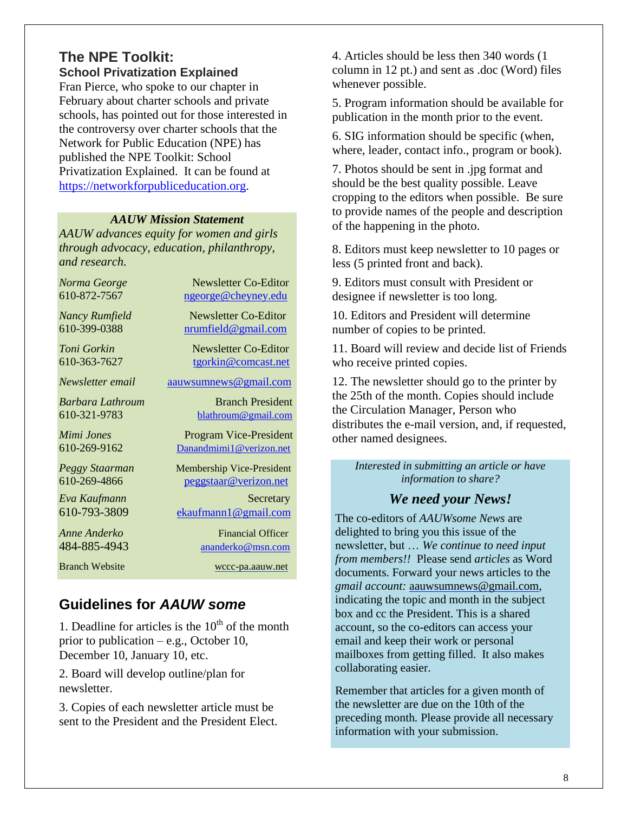## **The NPE Toolkit: School Privatization Explained**

Fran Pierce, who spoke to our chapter in February about charter schools and private schools, has pointed out for those interested in the controversy over charter schools that the Network for Public Education (NPE) has published the NPE Toolkit: School Privatization Explained. It can be found at [https://networkforpubliceducation.org.](https://networkforpubliceducation.org/)

#### *AAUW Mission Statement*

*AAUW advances equity for women and girls through advocacy, education, philanthropy, and research.*

| Norma George          | Newsletter Co-Editor             |
|-----------------------|----------------------------------|
| 610-872-7567          | ngeorge@cheyney.edu              |
| Nancy Rumfield        | Newsletter Co-Editor             |
| 610-399-0388          | nrumfield@gmail.com              |
| Toni Gorkin           | Newsletter Co-Editor             |
| 610-363-7627          | tgorkin@comcast.net              |
| Newsletter email      | aauwsumnews@gmail.com            |
| Barbara Lathroum      | <b>Branch President</b>          |
| 610-321-9783          | blathroum@gmail.com              |
| Mimi Jones            | <b>Program Vice-President</b>    |
| 610-269-9162          | Danandmimi1@verizon.net          |
| Peggy Staarman        | <b>Membership Vice-President</b> |
| 610-269-4866          | peggstaar@verizon.net            |
| Eva Kaufmann          | Secretary                        |
| 610-793-3809          | ekaufmann1@gmail.com             |
| Anne Anderko          | <b>Financial Officer</b>         |
| 484-885-4943          | ananderko@msn.com                |
| <b>Branch Website</b> | wccc-pa.aauw.net                 |

## **Guidelines for** *AAUW some*

1. Deadline for articles is the  $10<sup>th</sup>$  of the month prior to publication – e.g., October 10, December 10, January 10, etc.

2. Board will develop outline/plan for newsletter.

3. Copies of each newsletter article must be sent to the President and the President Elect. 4. Articles should be less then 340 words (1 column in 12 pt.) and sent as .doc (Word) files whenever possible.

5. Program information should be available for publication in the month prior to the event.

6. SIG information should be specific (when, where, leader, contact info., program or book).

7. Photos should be sent in .jpg format and should be the best quality possible. Leave cropping to the editors when possible. Be sure to provide names of the people and description of the happening in the photo.

8. Editors must keep newsletter to 10 pages or less (5 printed front and back).

9. Editors must consult with President or designee if newsletter is too long.

10. Editors and President will determine number of copies to be printed.

11. Board will review and decide list of Friends who receive printed copies.

12. The newsletter should go to the printer by the 25th of the month. Copies should include the Circulation Manager, Person who distributes the e-mail version, and, if requested, other named designees.

*Interested in submitting an article or have information to share?*

## *We need your News!*

The co-editors of *AAUWsome News* are delighted to bring you this issue of the newsletter, but … *We continue to need input from members!!* Please send *articles* as Word documents. Forward your news articles to the *gmail account:* [aauwsumnews@gmail.com,](mailto:aauwsum@gmail.com) indicating the topic and month in the subject box and cc the President. This is a shared account, so the co-editors can access your email and keep their work or personal mailboxes from getting filled. It also makes collaborating easier.

Remember that articles for a given month of the newsletter are due on the 10th of the preceding month*.* Please provide all necessary information with your submission.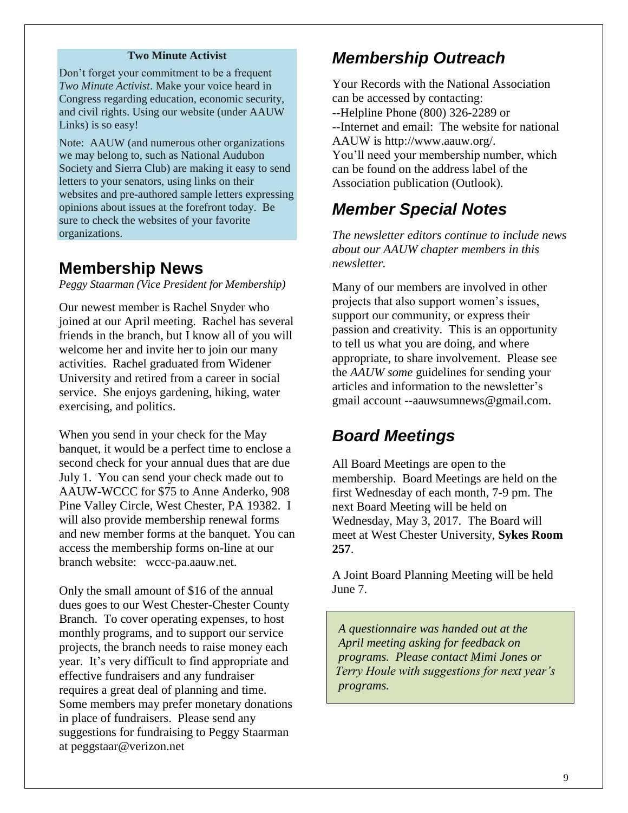#### **Two Minute Activist**

Don't forget your commitment to be a frequent *Two Minute Activist*. Make your voice heard in Congress regarding education, economic security, and civil rights. Using our website (under AAUW Links) is so easy!

Note: AAUW (and numerous other organizations we may belong to, such as National Audubon Society and Sierra Club) are making it easy to send letters to your senators, using links on their websites and pre-authored sample letters expressing opinions about issues at the forefront today. Be sure to check the websites of your favorite organizations.

## **Membership News**

*Peggy Staarman (Vice President for Membership)*

Our newest member is Rachel Snyder who joined at our April meeting. Rachel has several friends in the branch, but I know all of you will welcome her and invite her to join our many activities. Rachel graduated from Widener University and retired from a career in social service. She enjoys gardening, hiking, water exercising, and politics.

When you send in your check for the May banquet, it would be a perfect time to enclose a second check for your annual dues that are due July 1. You can send your check made out to AAUW-WCCC for \$75 to Anne Anderko, 908 Pine Valley Circle, West Chester, PA 19382. I will also provide membership renewal forms and new member forms at the banquet. You can access the membership forms on-line at our branch website: wccc-pa.aauw.net.

Only the small amount of \$16 of the annual dues goes to our West Chester-Chester County Branch. To cover operating expenses, to host monthly programs, and to support our service projects, the branch needs to raise money each year. It's very difficult to find appropriate and effective fundraisers and any fundraiser requires a great deal of planning and time. Some members may prefer monetary donations in place of fundraisers. Please send any suggestions for fundraising to Peggy Staarman at peggstaar@verizon.net

## *Membership Outreach*

Your Records with the National Association can be accessed by contacting: --Helpline Phone (800) 326-2289 or --Internet and email: The website for national AAUW is http://www.aauw.org/. You'll need your membership number, which can be found on the address label of the Association publication (Outlook).

## *Member Special Notes*

*The newsletter editors continue to include news about our AAUW chapter members in this newsletter.* 

Many of our members are involved in other projects that also support women's issues, support our community, or express their passion and creativity. This is an opportunity to tell us what you are doing, and where appropriate, to share involvement. Please see the *AAUW some* guidelines for sending your articles and information to the newsletter's gmail account --aauwsumnews@gmail.com.

## *Board Meetings*

All Board Meetings are open to the membership. Board Meetings are held on the first Wednesday of each month, 7-9 pm. The next Board Meeting will be held on Wednesday, May 3, 2017. The Board will meet at West Chester University, **Sykes Room 257**.

A Joint Board Planning Meeting will be held June 7.

 *A questionnaire was handed out at the April meeting asking for feedback on programs. Please contact Mimi Jones or Terry Houle with suggestions for next year's programs.*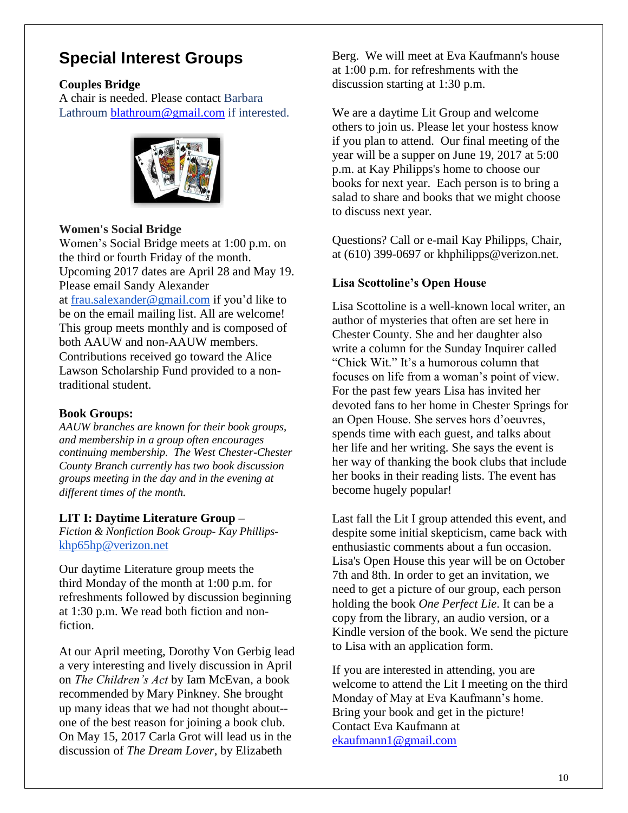## **Special Interest Groups**

### **Couples Bridge**

A chair is needed. Please contact Barbara Lathroum [blathroum@gmail.com](mailto:blathroum@gmail.com) if interested.



### **Women's Social Bridge**

Women's Social Bridge meets at 1:00 p.m. on the third or fourth Friday of the month. Upcoming 2017 dates are April 28 and May 19. Please email Sandy Alexander at [frau.salexander@gmail.com](mailto:frau.salexander@gmail.com) if you'd like to be on the email mailing list. All are welcome! This group meets monthly and is composed of both AAUW and non-AAUW members. Contributions received go toward the Alice Lawson Scholarship Fund provided to a nontraditional student.

## **Book Groups:**

*AAUW branches are known for their book groups, and membership in a group often encourages continuing membership. The West Chester-Chester County Branch currently has two book discussion groups meeting in the day and in the evening at different times of the month.* 

#### **LIT I: Daytime Literature Group –**

*Fiction & Nonfiction Book Group- Kay Phillips*[khp65hp@verizon.net](mailto:khp65hp@verizon.net)

Our daytime Literature group meets the third Monday of the month at 1:00 p.m. for refreshments followed by discussion beginning at 1:30 p.m. We read both fiction and nonfiction.

At our April meeting, Dorothy Von Gerbig lead a very interesting and lively discussion in April on *The Children's Act* by Iam McEvan, a book recommended by Mary Pinkney. She brought up many ideas that we had not thought about- one of the best reason for joining a book club. On May 15, 2017 Carla Grot will lead us in the discussion of *The Dream Lover*, by Elizabeth

Berg. We will meet at Eva Kaufmann's house at 1:00 p.m. for refreshments with the discussion starting at 1:30 p.m.

We are a daytime Lit Group and welcome others to join us. Please let your hostess know if you plan to attend. Our final meeting of the year will be a supper on June 19, 2017 at 5:00 p.m. at Kay Philipps's home to choose our books for next year. Each person is to bring a salad to share and books that we might choose to discuss next year.

Questions? Call or e-mail Kay Philipps, Chair, at (610) 399-0697 or khphilipps@verizon.net.

## **Lisa Scottoline's Open House**

Lisa Scottoline is a well-known local writer, an author of mysteries that often are set here in Chester County. She and her daughter also write a column for the Sunday Inquirer called "Chick Wit." It's a humorous column that focuses on life from a woman's point of view. For the past few years Lisa has invited her devoted fans to her home in Chester Springs for an Open House. She serves hors d'oeuvres, spends time with each guest, and talks about her life and her writing. She says the event is her way of thanking the book clubs that include her books in their reading lists. The event has become hugely popular!

Last fall the Lit I group attended this event, and despite some initial skepticism, came back with enthusiastic comments about a fun occasion. Lisa's Open House this year will be on October 7th and 8th. In order to get an invitation, we need to get a picture of our group, each person holding the book *One Perfect Lie*. It can be a copy from the library, an audio version, or a Kindle version of the book. We send the picture to Lisa with an application form.

If you are interested in attending, you are welcome to attend the Lit I meeting on the third Monday of May at Eva Kaufmann's home. Bring your book and get in the picture! Contact Eva Kaufmann at [ekaufmann1@gmail.com](mailto:ekaufmann1@gmail.com)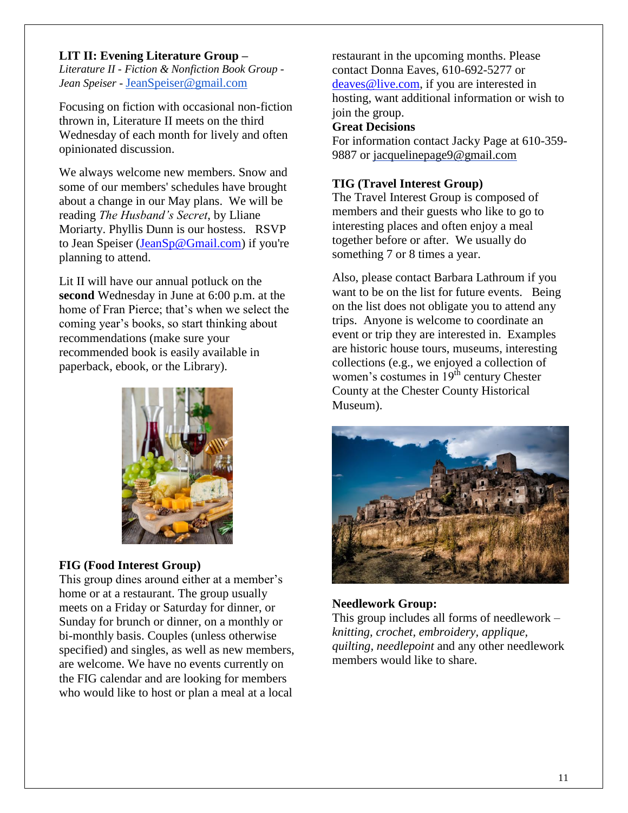#### **LIT II: Evening Literature Group –**

*Literature II - Fiction & Nonfiction Book Group - Jean Speiser -* [JeanSpeiser@gmail.com](mailto:JeanSpeiser@gmail.com)

Focusing on fiction with occasional non-fiction thrown in, Literature II meets on the third Wednesday of each month for lively and often opinionated discussion.

We always welcome new members. Snow and some of our members' schedules have brought about a change in our May plans. We will be reading *The Husband's Secret*, by Lliane Moriarty. Phyllis Dunn is our hostess. RSVP to Jean Speiser [\(JeanSp@Gmail.com\)](mailto:JeanSp@Gmail.com) if you're planning to attend.

Lit II will have our annual potluck on the **second** Wednesday in June at 6:00 p.m. at the home of Fran Pierce; that's when we select the coming year's books, so start thinking about recommendations (make sure your recommended book is easily available in paperback, ebook, or the Library).



#### **FIG (Food Interest Group)**

This group dines around either at a member's home or at a restaurant. The group usually meets on a Friday or Saturday for dinner, or Sunday for brunch or dinner, on a monthly or bi-monthly basis. Couples (unless otherwise specified) and singles, as well as new members, are welcome. We have no events currently on the FIG calendar and are looking for members who would like to host or plan a meal at a local

restaurant in the upcoming months. Please contact Donna Eaves, 610-692-5277 or [deaves@live.com,](mailto:deaves@live.com) if you are interested in hosting, want additional information or wish to join the group.

#### **Great Decisions**

For information contact Jacky Page at 610-359- 9887 or [jacquelinepage9@gmail.com](mailto:jacquelinepage9@gmail.com)

#### **TIG (Travel Interest Group)**

The Travel Interest Group is composed of members and their guests who like to go to interesting places and often enjoy a meal together before or after. We usually do something 7 or 8 times a year.

Also, please contact Barbara Lathroum if you want to be on the list for future events. Being on the list does not obligate you to attend any trips. Anyone is welcome to coordinate an event or trip they are interested in. Examples are historic house tours, museums, interesting collections (e.g., we enjoyed a collection of women's costumes in  $19<sup>th</sup>$  century Chester County at the Chester County Historical Museum).



#### **Needlework Group:**

This group includes all forms of needlework – *knitting, crochet, embroidery, applique, quilting, needlepoint* and any other needlework members would like to share.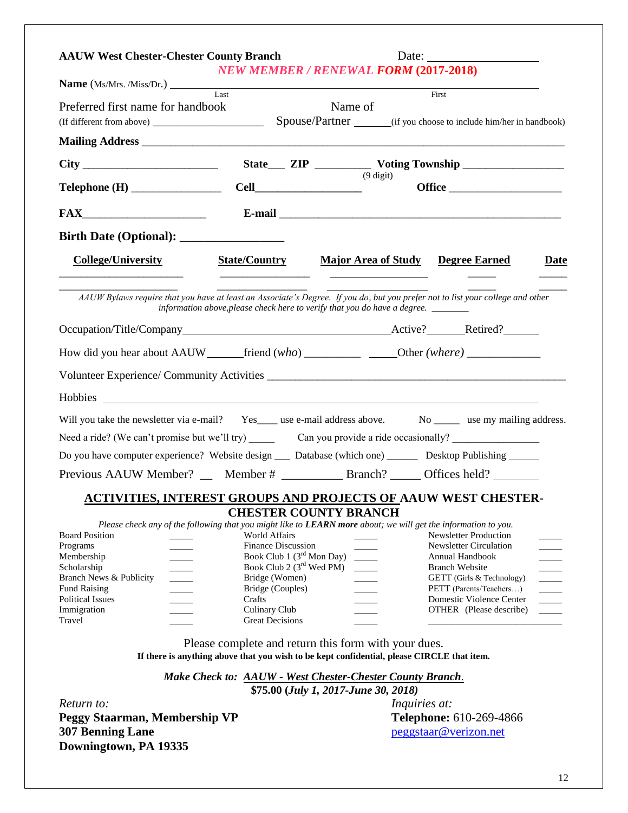| <b>AAUW West Chester-Chester County Branch</b>                                                                                                                                                                                                                                       |                                                   |                                                                                                                                                    |                                                                              |  |  |  |  |
|--------------------------------------------------------------------------------------------------------------------------------------------------------------------------------------------------------------------------------------------------------------------------------------|---------------------------------------------------|----------------------------------------------------------------------------------------------------------------------------------------------------|------------------------------------------------------------------------------|--|--|--|--|
|                                                                                                                                                                                                                                                                                      |                                                   | <b>NEW MEMBER / RENEWAL FORM (2017-2018)</b>                                                                                                       |                                                                              |  |  |  |  |
| <b>Name</b> (Ms/Mrs. /Miss/Dr.) Last                                                                                                                                                                                                                                                 |                                                   |                                                                                                                                                    | First                                                                        |  |  |  |  |
| Preferred first name for handbook                                                                                                                                                                                                                                                    |                                                   | Name of                                                                                                                                            |                                                                              |  |  |  |  |
|                                                                                                                                                                                                                                                                                      |                                                   |                                                                                                                                                    |                                                                              |  |  |  |  |
|                                                                                                                                                                                                                                                                                      |                                                   |                                                                                                                                                    |                                                                              |  |  |  |  |
| $\text{Telephone (H)} \_\_\_\_\_\_\_\_\_\_\_\_\_\_\_\_\_\_\_\_\_\_\_\_\_\_\_\_\_\_\_\_\_\_$                                                                                                                                                                                          |                                                   | $(9 \text{ digit})$                                                                                                                                |                                                                              |  |  |  |  |
|                                                                                                                                                                                                                                                                                      |                                                   |                                                                                                                                                    |                                                                              |  |  |  |  |
|                                                                                                                                                                                                                                                                                      |                                                   |                                                                                                                                                    |                                                                              |  |  |  |  |
| <b>College/University</b>                                                                                                                                                                                                                                                            | <b>State/Country</b>                              | Major Area of Study Degree Earned                                                                                                                  | Date                                                                         |  |  |  |  |
| AAUW Bylaws require that you have at least an Associate's Degree. If you do, but you prefer not to list your college and other                                                                                                                                                       |                                                   | information above, please check here to verify that you do have a degree. ______                                                                   |                                                                              |  |  |  |  |
|                                                                                                                                                                                                                                                                                      |                                                   |                                                                                                                                                    |                                                                              |  |  |  |  |
| How did you hear about AAUW ______friend (who) _____________________Other (where) __________________                                                                                                                                                                                 |                                                   |                                                                                                                                                    |                                                                              |  |  |  |  |
|                                                                                                                                                                                                                                                                                      |                                                   |                                                                                                                                                    |                                                                              |  |  |  |  |
|                                                                                                                                                                                                                                                                                      |                                                   |                                                                                                                                                    |                                                                              |  |  |  |  |
| Will you take the newsletter via e-mail? Yes____ use e-mail address above. No ______ use my mailing address.                                                                                                                                                                         |                                                   |                                                                                                                                                    |                                                                              |  |  |  |  |
| Need a ride? (We can't promise but we'll try) Can you provide a ride occasionally?                                                                                                                                                                                                   |                                                   |                                                                                                                                                    |                                                                              |  |  |  |  |
| Do you have computer experience? Website design __ Database (which one) ______ Desktop Publishing _____                                                                                                                                                                              |                                                   |                                                                                                                                                    |                                                                              |  |  |  |  |
| Previous AAUW Member? __ Member # ____________ Branch? ______ Offices held? ______                                                                                                                                                                                                   |                                                   |                                                                                                                                                    |                                                                              |  |  |  |  |
| <b>ACTIVITIES, INTEREST GROUPS AND PROJECTS OF AAUW WEST CHESTER-</b>                                                                                                                                                                                                                |                                                   |                                                                                                                                                    |                                                                              |  |  |  |  |
|                                                                                                                                                                                                                                                                                      |                                                   | <b>CHESTER COUNTY BRANCH</b>                                                                                                                       |                                                                              |  |  |  |  |
| Please check any of the following that you might like to LEARN more about; we will get the information to you.                                                                                                                                                                       |                                                   |                                                                                                                                                    |                                                                              |  |  |  |  |
| <b>Board Position</b><br>Programs                                                                                                                                                                                                                                                    | <b>World Affairs</b><br><b>Finance Discussion</b> |                                                                                                                                                    | <b>Newsletter Production</b><br><b>Newsletter Circulation</b>                |  |  |  |  |
| Membership                                                                                                                                                                                                                                                                           | Book Club 1 $(3rd$ Mon Day)                       | $\sim 10^{-1}$                                                                                                                                     | Annual Handbook                                                              |  |  |  |  |
| Scholarship                                                                                                                                                                                                                                                                          | Book Club 2 $(3rd$ Wed PM)                        |                                                                                                                                                    | <b>Branch Website</b>                                                        |  |  |  |  |
| $\begin{tabular}{ c c c c } \hline \quad \quad & \quad \quad & \quad \quad \\ \hline \quad \quad & \quad \quad & \quad \quad \\ \hline \quad \quad & \quad \quad & \quad \quad \\ \hline \quad \quad & \quad \quad & \quad \quad \\ \hline \end{tabular}$<br>Branch News & Publicity | Bridge (Women)                                    |                                                                                                                                                    | $\begin{array}{c}\n\hline\n\hline\n\end{array}$<br>GETT (Girls & Technology) |  |  |  |  |
| <b>Fund Raising</b><br>$\overline{\phantom{a}}$                                                                                                                                                                                                                                      | Bridge (Couples)                                  |                                                                                                                                                    | $\overline{\phantom{a}}$<br>PETT (Parents/Teachers)                          |  |  |  |  |
| <b>Political Issues</b>                                                                                                                                                                                                                                                              | Crafts                                            | $\overline{\phantom{a}}$                                                                                                                           | Domestic Violence Center<br>$\frac{1}{1}$                                    |  |  |  |  |
| Immigration<br>Travel                                                                                                                                                                                                                                                                | Culinary Club<br><b>Great Decisions</b>           |                                                                                                                                                    | OTHER (Please describe)                                                      |  |  |  |  |
|                                                                                                                                                                                                                                                                                      |                                                   | Please complete and return this form with your dues.<br>If there is anything above that you wish to be kept confidential, please CIRCLE that item. |                                                                              |  |  |  |  |
|                                                                                                                                                                                                                                                                                      |                                                   | Make Check to: <b>AAUW</b> - West Chester-Chester County Branch.                                                                                   |                                                                              |  |  |  |  |
|                                                                                                                                                                                                                                                                                      |                                                   | \$75.00 (July 1, 2017-June 30, 2018)                                                                                                               |                                                                              |  |  |  |  |
| Return to:                                                                                                                                                                                                                                                                           |                                                   | <i>Inquiries at:</i>                                                                                                                               |                                                                              |  |  |  |  |
| <b>Peggy Staarman, Membership VP</b>                                                                                                                                                                                                                                                 |                                                   |                                                                                                                                                    | Telephone: 610-269-4866                                                      |  |  |  |  |
| <b>307 Benning Lane</b>                                                                                                                                                                                                                                                              |                                                   |                                                                                                                                                    | peggstaar@verizon.net                                                        |  |  |  |  |

**Downingtown, PA 19335**